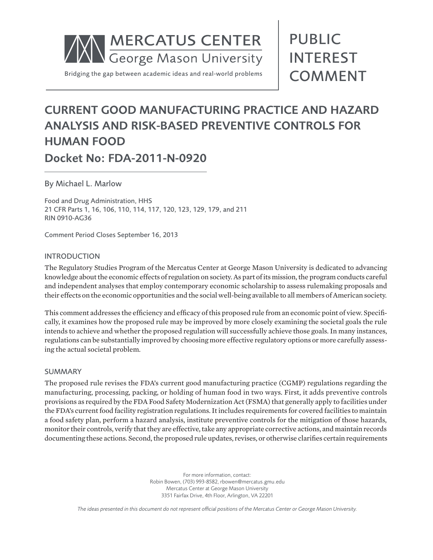

# PUBLIC INTEREST COMMENT

# CURRENT GOOD MANUFACTURING PRACTICE AND HAZARD ANALYSIS AND RISK-BASED PREVENTIVE CONTROLS FOR HUMAN FOOD

Docket No: FDA-2011-N-0920

By Michael L. Marlow

Food and Drug Administration, HHS 21 CFR Parts 1, 16, 106, 110, 114, 117, 120, 123, 129, 179, and 211 RIN 0910-AG36

Comment Period Closes September 16, 2013

### INTRODUCTION

The Regulatory Studies Program of the Mercatus Center at George Mason University is dedicated to advancing knowledge about the economic effects of regulation on society. As part of its mission, the program conducts careful and independent analyses that employ contemporary economic scholarship to assess rulemaking proposals and their effects on the economic opportunities and the social well-being available to all members of American society.

This comment addresses the efficiency and efficacy of this proposed rule from an economic point of view. Specifically, it examines how the proposed rule may be improved by more closely examining the societal goals the rule intends to achieve and whether the proposed regulation will successfully achieve those goals. In many instances, regulations can be substantially improved by choosing more effective regulatory options or more carefully assessing the actual societal problem.

### SUMMARY

The proposed rule revises the FDA's current good manufacturing practice (CGMP) regulations regarding the manufacturing, processing, packing, or holding of human food in two ways. First, it adds preventive controls provisions as required by the FDA Food Safety Modernization Act (FSMA) that generally apply to facilities under the FDA's current food facility registration regulations. It includes requirements for covered facilities to maintain a food safety plan, perform a hazard analysis, institute preventive controls for the mitigation of those hazards, monitor their controls, verify that they are effective, take any appropriate corrective actions, and maintain records documenting these actions. Second, the proposed rule updates, revises, or otherwise clarifies certain requirements

> For more information, contact: Robin Bowen, (703) 993-8582, rbowen@mercatus.gmu.edu Mercatus Center at George Mason University 3351 Fairfax Drive, 4th Floor, Arlington, VA 22201

*The ideas presented in this document do not represent official positions of the Mercatus Center or George Mason University.*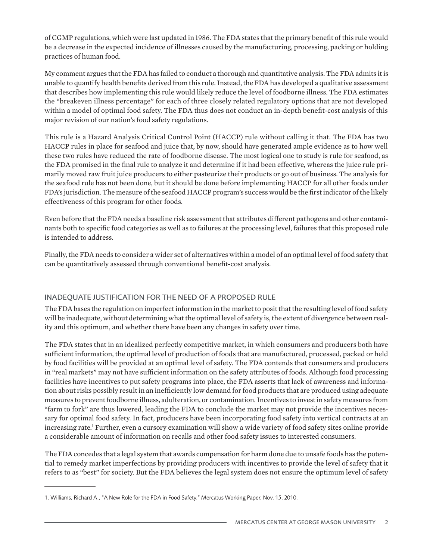of CGMP regulations, which were last updated in 1986. The FDA states that the primary benefit of this rule would be a decrease in the expected incidence of illnesses caused by the manufacturing, processing, packing or holding practices of human food.

My comment argues that the FDA has failed to conduct a thorough and quantitative analysis. The FDA admits it is unable to quantify health benefits derived from this rule. Instead, the FDA has developed a qualitative assessment that describes how implementing this rule would likely reduce the level of foodborne illness. The FDA estimates the "breakeven illness percentage" for each of three closely related regulatory options that are not developed within a model of optimal food safety. The FDA thus does not conduct an in-depth benefit-cost analysis of this major revision of our nation's food safety regulations.

This rule is a Hazard Analysis Critical Control Point (HACCP) rule without calling it that. The FDA has two HACCP rules in place for seafood and juice that, by now, should have generated ample evidence as to how well these two rules have reduced the rate of foodborne disease. The most logical one to study is rule for seafood, as the FDA promised in the final rule to analyze it and determine if it had been effective, whereas the juice rule primarily moved raw fruit juice producers to either pasteurize their products or go out of business. The analysis for the seafood rule has not been done, but it should be done before implementing HACCP for all other foods under FDA's jurisdiction. The measure of the seafood HACCP program's success would be the first indicator of the likely effectiveness of this program for other foods.

Even before that the FDA needs a baseline risk assessment that attributes different pathogens and other contaminants both to specific food categories as well as to failures at the processing level, failures that this proposed rule is intended to address.

Finally, the FDA needs to consider a wider set of alternatives within a model of an optimal level of food safety that can be quantitatively assessed through conventional benefit-cost analysis.

# INADEQUATE JUSTIFICATION FOR THE NEED OF A PROPOSED RULE

The FDA bases the regulation on imperfect information in the market to posit that the resulting level of food safety will be inadequate, without determining what the optimal level of safety is, the extent of divergence between reality and this optimum, and whether there have been any changes in safety over time.

The FDA states that in an idealized perfectly competitive market, in which consumers and producers both have sufficient information, the optimal level of production of foods that are manufactured, processed, packed or held by food facilities will be provided at an optimal level of safety. The FDA contends that consumers and producers in "real markets" may not have sufficient information on the safety attributes of foods. Although food processing facilities have incentives to put safety programs into place, the FDA asserts that lack of awareness and information about risks possibly result in an inefficiently low demand for food products that are produced using adequate measures to prevent foodborne illness, adulteration, or contamination. Incentives to invest in safety measures from "farm to fork" are thus lowered, leading the FDA to conclude the market may not provide the incentives necessary for optimal food safety. In fact, producers have been incorporating food safety into vertical contracts at an increasing rate.<sup>1</sup> Further, even a cursory examination will show a wide variety of food safety sites online provide a considerable amount of information on recalls and other food safety issues to interested consumers.

The FDA concedes that a legal system that awards compensation for harm done due to unsafe foods has the potential to remedy market imperfections by providing producers with incentives to provide the level of safety that it refers to as "best" for society. But the FDA believes the legal system does not ensure the optimum level of safety

<sup>1.</sup> Williams, Richard A., "A New Role for the FDA in Food Safety," Mercatus Working Paper, Nov. 15, 2010.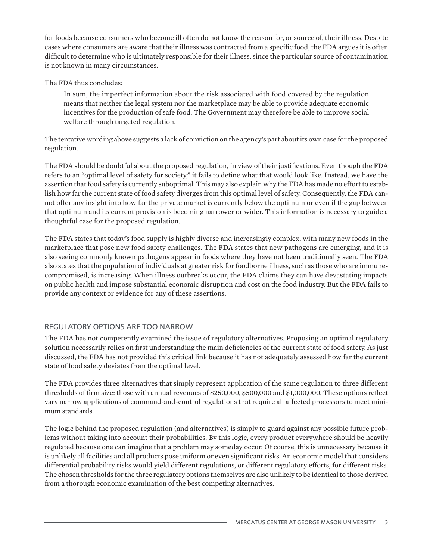for foods because consumers who become ill often do not know the reason for, or source of, their illness. Despite cases where consumers are aware that their illness was contracted from a specific food, the FDA argues it is often difficult to determine who is ultimately responsible for their illness, since the particular source of contamination is not known in many circumstances.

## The FDA thus concludes:

In sum, the imperfect information about the risk associated with food covered by the regulation means that neither the legal system nor the marketplace may be able to provide adequate economic incentives for the production of safe food. The Government may therefore be able to improve social welfare through targeted regulation.

The tentative wording above suggests a lack of conviction on the agency's part about its own case for the proposed regulation.

The FDA should be doubtful about the proposed regulation, in view of their justifications. Even though the FDA refers to an "optimal level of safety for society," it fails to define what that would look like. Instead, we have the assertion that food safety is currently suboptimal. This may also explain why the FDA has made no effort to establish how far the current state of food safety diverges from this optimal level of safety. Consequently, the FDA cannot offer any insight into how far the private market is currently below the optimum or even if the gap between that optimum and its current provision is becoming narrower or wider. This information is necessary to guide a thoughtful case for the proposed regulation.

The FDA states that today's food supply is highly diverse and increasingly complex, with many new foods in the marketplace that pose new food safety challenges. The FDA states that new pathogens are emerging, and it is also seeing commonly known pathogens appear in foods where they have not been traditionally seen. The FDA also states that the population of individuals at greater risk for foodborne illness, such as those who are immunecompromised, is increasing. When illness outbreaks occur, the FDA claims they can have devastating impacts on public health and impose substantial economic disruption and cost on the food industry. But the FDA fails to provide any context or evidence for any of these assertions.

# REGULATORY OPTIONS ARE TOO NARROW

The FDA has not competently examined the issue of regulatory alternatives. Proposing an optimal regulatory solution necessarily relies on first understanding the main deficiencies of the current state of food safety. As just discussed, the FDA has not provided this critical link because it has not adequately assessed how far the current state of food safety deviates from the optimal level.

The FDA provides three alternatives that simply represent application of the same regulation to three different thresholds of firm size: those with annual revenues of \$250,000, \$500,000 and \$1,000,000. These options reflect vary narrow applications of command-and-control regulations that require all affected processors to meet minimum standards.

The logic behind the proposed regulation (and alternatives) is simply to guard against any possible future problems without taking into account their probabilities. By this logic, every product everywhere should be heavily regulated because one can imagine that a problem may someday occur. Of course, this is unnecessary because it is unlikely all facilities and all products pose uniform or even significant risks. An economic model that considers differential probability risks would yield different regulations, or different regulatory efforts, for different risks. The chosen thresholds for the three regulatory options themselves are also unlikely to be identical to those derived from a thorough economic examination of the best competing alternatives.